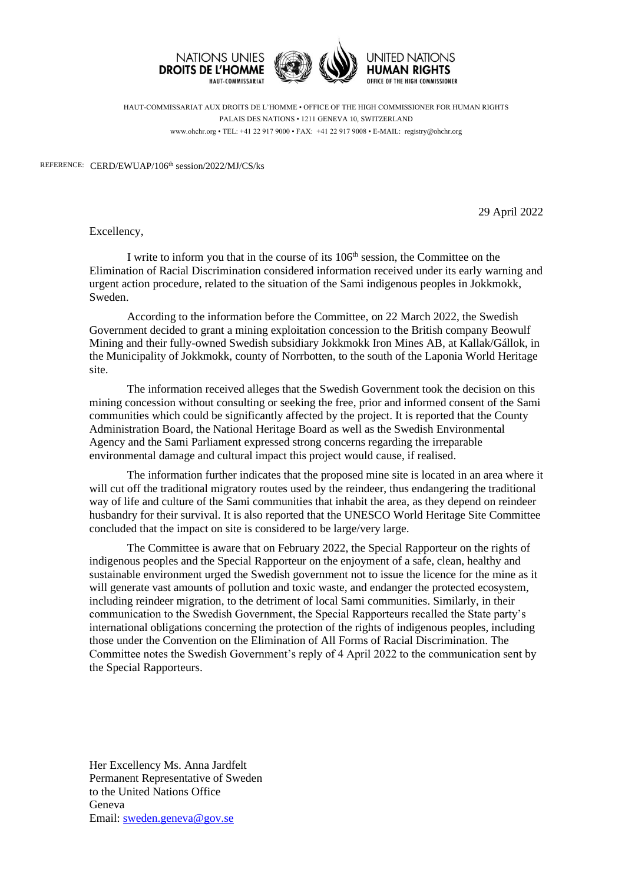

HAUT-COMMISSARIAT AUX DROITS DE L'HOMME • OFFICE OF THE HIGH COMMISSIONER FOR HUMAN RIGHTS PALAIS DES NATIONS • 1211 GENEVA 10, SWITZERLAND www.ohchr.org • TEL: +41 22 917 9000 • FAX: +41 22 917 9008 • E-MAIL: registry@ohchr.org

REFERENCE: CERD/EWUAP/106<sup>th</sup> session/2022/MJ/CS/ks

29 April 2022

Excellency,

I write to inform you that in the course of its 106<sup>th</sup> session, the Committee on the Elimination of Racial Discrimination considered information received under its early warning and urgent action procedure, related to the situation of the Sami indigenous peoples in Jokkmokk, Sweden.

According to the information before the Committee, on 22 March 2022, the Swedish Government decided to grant a mining exploitation concession to the British company Beowulf Mining and their fully-owned Swedish subsidiary Jokkmokk Iron Mines AB, at Kallak/Gállok, in the Municipality of Jokkmokk, county of Norrbotten, to the south of the Laponia World Heritage site.

The information received alleges that the Swedish Government took the decision on this mining concession without consulting or seeking the free, prior and informed consent of the Sami communities which could be significantly affected by the project. It is reported that the County Administration Board, the National Heritage Board as well as the Swedish Environmental Agency and the Sami Parliament expressed strong concerns regarding the irreparable environmental damage and cultural impact this project would cause, if realised.

The information further indicates that the proposed mine site is located in an area where it will cut off the traditional migratory routes used by the reindeer, thus endangering the traditional way of life and culture of the Sami communities that inhabit the area, as they depend on reindeer husbandry for their survival. It is also reported that the UNESCO World Heritage Site Committee concluded that the impact on site is considered to be large/very large.

The Committee is aware that on February 2022, the Special Rapporteur on the rights of indigenous peoples and the Special Rapporteur on the enjoyment of a safe, clean, healthy and sustainable environment urged the Swedish government not to issue the licence for the mine as it will generate vast amounts of pollution and toxic waste, and endanger the protected ecosystem, including reindeer migration, to the detriment of local Sami communities. Similarly, in their communication to the Swedish Government, the Special Rapporteurs recalled the State party's international obligations concerning the protection of the rights of indigenous peoples, including those under the Convention on the Elimination of All Forms of Racial Discrimination. The Committee notes the Swedish Government's reply of 4 April 2022 to the communication sent by the Special Rapporteurs.

Her Excellency Ms. Anna Jardfelt Permanent Representative of Sweden to the United Nations Office Geneva Email: [sweden.geneva@gov.se](mailto:sweden.geneva@gov.se)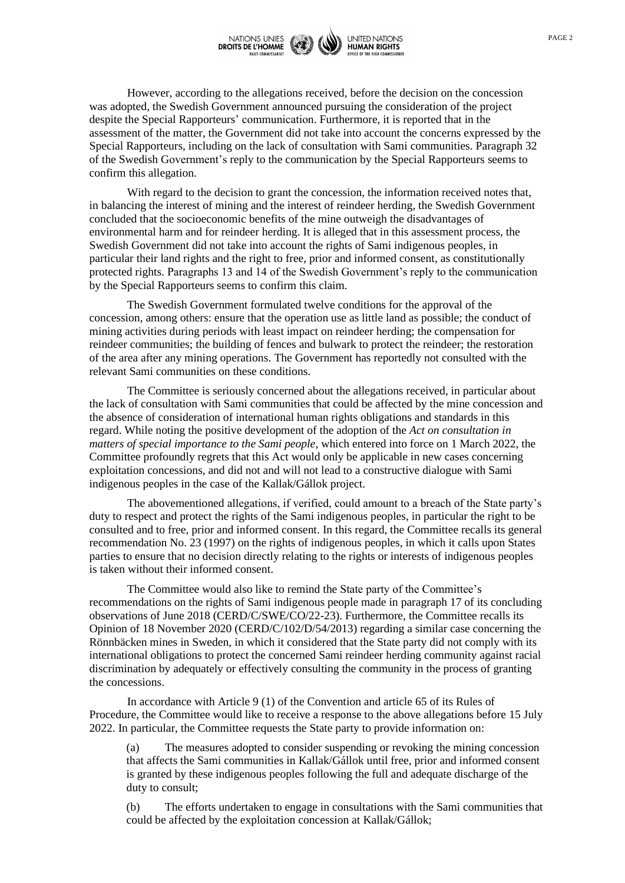

However, according to the allegations received, before the decision on the concession was adopted, the Swedish Government announced pursuing the consideration of the project despite the Special Rapporteurs' communication. Furthermore, it is reported that in the assessment of the matter, the Government did not take into account the concerns expressed by the Special Rapporteurs, including on the lack of consultation with Sami communities. Paragraph 32 of the Swedish Government's reply to the communication by the Special Rapporteurs seems to confirm this allegation.

With regard to the decision to grant the concession, the information received notes that, in balancing the interest of mining and the interest of reindeer herding, the Swedish Government concluded that the socioeconomic benefits of the mine outweigh the disadvantages of environmental harm and for reindeer herding. It is alleged that in this assessment process, the Swedish Government did not take into account the rights of Sami indigenous peoples, in particular their land rights and the right to free, prior and informed consent, as constitutionally protected rights. Paragraphs 13 and 14 of the Swedish Government's reply to the communication by the Special Rapporteurs seems to confirm this claim.

The Swedish Government formulated twelve conditions for the approval of the concession, among others: ensure that the operation use as little land as possible; the conduct of mining activities during periods with least impact on reindeer herding; the compensation for reindeer communities; the building of fences and bulwark to protect the reindeer; the restoration of the area after any mining operations. The Government has reportedly not consulted with the relevant Sami communities on these conditions.

The Committee is seriously concerned about the allegations received, in particular about the lack of consultation with Sami communities that could be affected by the mine concession and the absence of consideration of international human rights obligations and standards in this regard. While noting the positive development of the adoption of the *Act on consultation in matters of special importance to the Sami people*, which entered into force on 1 March 2022, the Committee profoundly regrets that this Act would only be applicable in new cases concerning exploitation concessions, and did not and will not lead to a constructive dialogue with Sami indigenous peoples in the case of the Kallak/Gállok project.

The abovementioned allegations, if verified, could amount to a breach of the State party's duty to respect and protect the rights of the Sami indigenous peoples, in particular the right to be consulted and to free, prior and informed consent. In this regard, the Committee recalls its general recommendation No. 23 (1997) on the rights of indigenous peoples, in which it calls upon States parties to ensure that no decision directly relating to the rights or interests of indigenous peoples is taken without their informed consent.

The Committee would also like to remind the State party of the Committee's recommendations on the rights of Sami indigenous people made in paragraph 17 of its concluding observations of June 2018 (CERD/C/SWE/CO/22-23). Furthermore, the Committee recalls its Opinion of 18 November 2020 (CERD/C/102/D/54/2013) regarding a similar case concerning the Rönnbäcken mines in Sweden, in which it considered that the State party did not comply with its international obligations to protect the concerned Sami reindeer herding community against racial discrimination by adequately or effectively consulting the community in the process of granting the concessions.

In accordance with Article 9 (1) of the Convention and article 65 of its Rules of Procedure, the Committee would like to receive a response to the above allegations before 15 July 2022. In particular, the Committee requests the State party to provide information on:

(a) The measures adopted to consider suspending or revoking the mining concession that affects the Sami communities in Kallak/Gállok until free, prior and informed consent is granted by these indigenous peoples following the full and adequate discharge of the duty to consult;

(b) The efforts undertaken to engage in consultations with the Sami communities that could be affected by the exploitation concession at Kallak/Gállok;